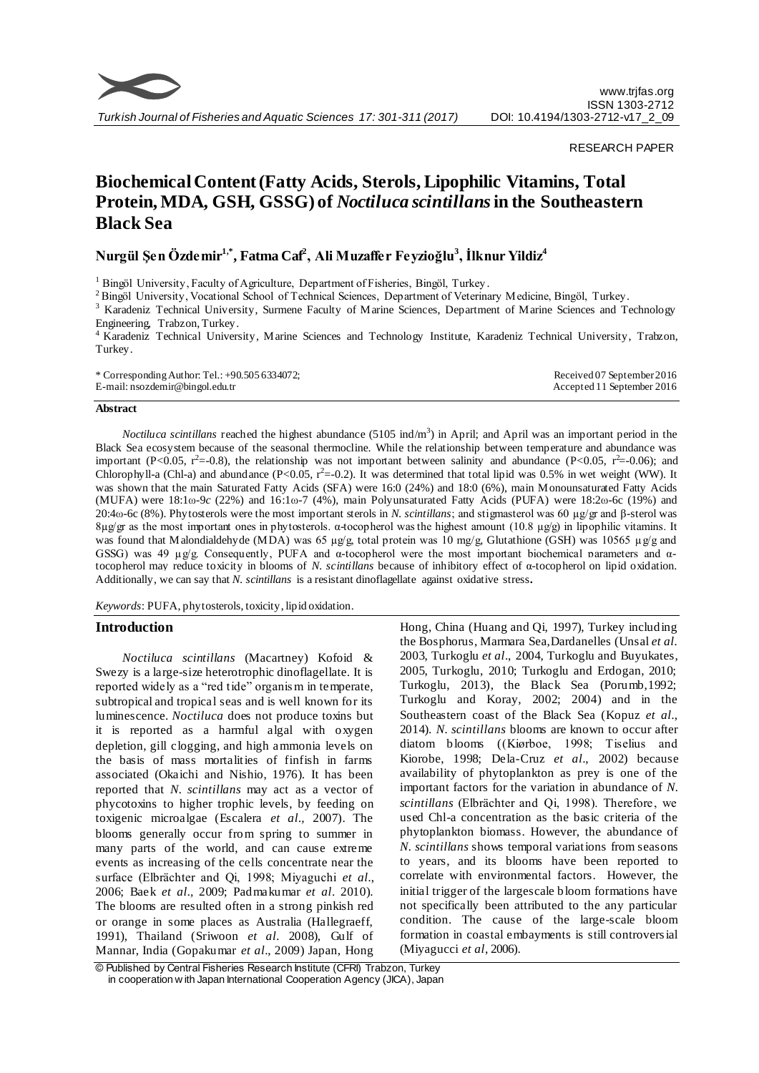

RESEARCH PAPER

# **Biochemical Content (Fatty Acids, Sterols, Lipophilic Vitamins, Total Protein, MDA, GSH, GSSG) of** *Noctiluca scintillans***in the Southeastern Black Sea**

**Nurgül Şen Özdemir1,\*, Fatma Caf<sup>2</sup> , Ali Muzaffer Feyzioğlu<sup>3</sup> , İlknur Yildiz<sup>4</sup>**

<sup>1</sup> Bingöl University, Faculty of Agriculture, Department of Fisheries, Bingöl, Turkey.

<sup>2</sup> Bingöl University, Vocational School of Technical Sciences, Department of Veterinary Medicine, Bingöl, Turkey.

<sup>3</sup> Karadeniz Technical University, Surmene Faculty of Marine Sciences, Department of Marine Sciences and Technology Engineering, Trabzon, Turkey.

<sup>4</sup> Karadeniz Technical University, Marine Sciences and Technology Institute, Karadeniz Technical University, Trabzon, Turkey.

\* Corresponding Author: Tel.: +90.505 6334072; E-mail: nsozdemir@bingol.edu.tr Received 07 September 2016 Accepted 11 September 2016

#### **Abstract**

*Noctiluca scintillans* reached the highest abundance (5105 ind/m<sup>3</sup>) in April; and April was an important period in the Black Sea ecosystem because of the seasonal thermocline. While the relationship between temperature and abundance was important (P<0.05, r<sup>2</sup>=-0.8), the relationship was not important between salinity and abundance (P<0.05, r<sup>2</sup>=-0.06); and Chlorophyll-a (Chl-a) and abundance (P<0.05,  $r^2$ =-0.2). It was determined that total lipid was 0.5% in wet weight (WW). It was shown that the main Saturated Fatty Acids (SFA) were 16:0 (24%) and 18:0 (6%), main Monounsaturated Fatty Acids (MUFA) were 18:1ω-9*c* (22%) and 16:1ω-7 (4%), main Polyunsaturated Fatty Acids (PUFA) were 18:2ω-6c (19%) and 20:4ω-6c (8%). Phytosterols were the most important sterols in *N. scintillans*; and stigmasterol was 60 µg/gr and β-sterol was  $8μg/gr$  as the most important ones in phytosterols. α-tocopherol was the highest amount (10.8 μg/g) in lipophilic vitamins. It was found that Malondialdehyde (MDA) was 65 µg/g, total protein was 10 mg/g, Glutathione (GSH) was 10565 µg/g and GSSG) was 49  $\mu$ g/g. Consequently, PUFA and  $\alpha$ -tocopherol were the most important biochemical parameters and  $\alpha$ tocopherol may reduce toxicity in blooms of *N. scintillans* because of inhibitory effect of α-tocopherol on lipid oxidation. Additionally, we can say that *N. scintillans* is a resistant dinoflagellate against oxidative stress**.**

*Keywords*: PUFA, phytosterols, toxicity, lipid oxidation.

# **Introduction**

*Noctiluca scintillans* (Macartney) Kofoid & Swezy is a large-size heterotrophic dinoflagellate. It is reported widely as a "red tide" organis m in temperate, subtropical and tropical seas and is well known for its luminescence. *Noctiluca* does not produce toxins but it is reported as a harmful algal with oxygen depletion, gill clogging, and high ammonia levels on the basis of mass mortalities of finfish in farms associated (Okaichi and Nishio, 1976). It has been reported that *N. scintillans* may act as a vector of phycotoxins to higher trophic levels, by feeding on toxigenic microalgae (Escalera *et al.,* 2007). The blooms generally occur from spring to summer in many parts of the world, and can cause extreme events as increasing of the cells concentrate near the surface (Elbrächter and Qi, 1998; Miyaguchi *et al.*, 2006; Baek *et al.,* 2009; Padmakumar *et al*. 2010). The blooms are resulted often in a strong pinkish red or orange in some places as Australia (Hallegraeff, 1991), Thailand (Sriwoon *et al.* 2008), Gulf of Mannar, India (Gopakumar *et al*., 2009) Japan, Hong Hong, China (Huang and Qi, 1997), Turkey including the Bosphorus, Marmara Sea,Dardanelles (Unsal *et al.* 2003, Turkoglu *et al*., 2004, Turkoglu and Buyukates, 2005, Turkoglu, 2010; Turkoglu and Erdogan, 2010; Turkoglu, 2013), the Black Sea (Porumb,1992; Turkoglu and Koray, 2002; 2004) and in the Southeastern coast of the Black Sea (Kopuz *et al.*, 2014). *N. scintillans* blooms are known to occur after diatom blooms ((Kiørboe, 1998; Tiselius and Kiorobe, 1998; Dela-Cruz *et al*., 2002) because availability of phytoplankton as prey is one of the important factors for the variation in abundance of *N. scintillans* (Elbrächter and Qi, 1998). Therefore, we used Chl-a concentration as the basic criteria of the phytoplankton biomass. However, the abundance of *N. scintillans* shows temporal variations from seasons to years, and its blooms have been reported to correlate with environmental factors. However, the initial trigger of the largescale bloom formations have not specifically been attributed to the any particular condition. The cause of the large-scale bloom formation in coastal embayments is still controversial (Miyagucci *et al*, 2006).

<sup>©</sup> Published by Central Fisheries Research Institute (CFRI) Trabzon, Turkey in cooperation w ith Japan International Cooperation Agency (JICA), Japan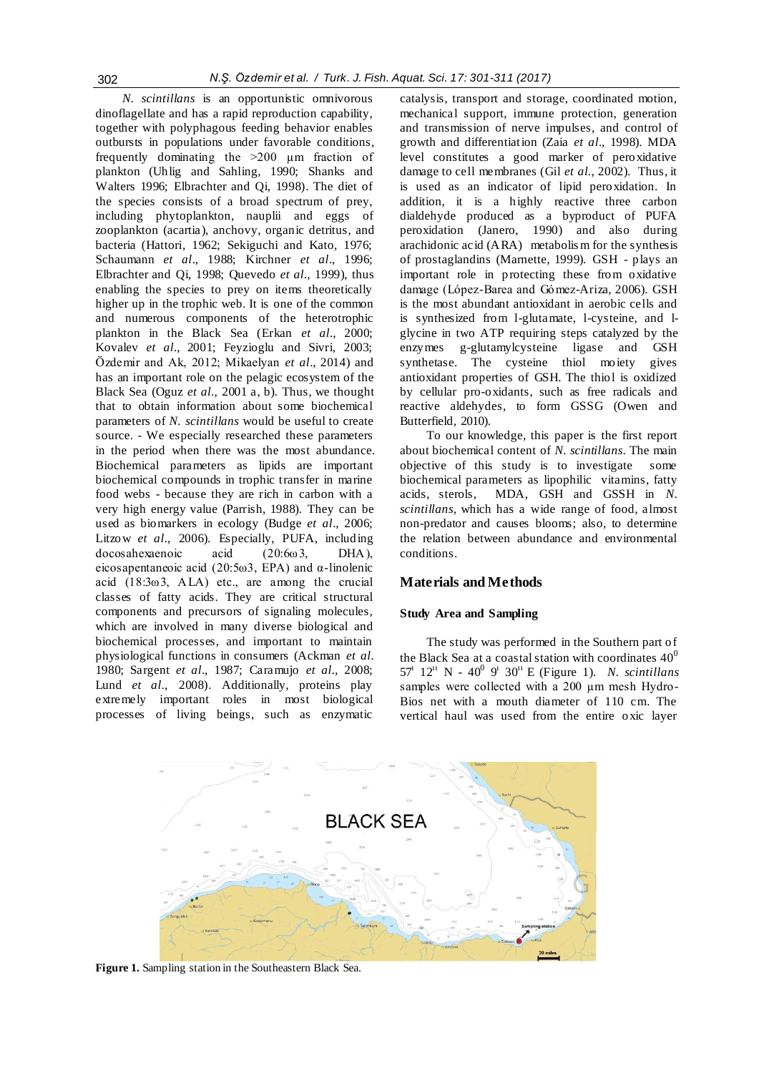*N. scintillans* is an opportunistic omnivorous dinoflagellate and has a rapid reproduction capability, together with polyphagous feeding behavior enables outbursts in populations under favorable conditions, frequently dominating the >200 µm fraction of plankton (Uhlig and Sahling, 1990; Shanks and Walters 1996; Elbrachter and Qi, 1998). The diet of the species consists of a broad spectrum of prey, including phytoplankton, nauplii and eggs of zooplankton (acartia), anchovy, organic detritus, and bacteria (Hattori, 1962; Sekiguchi and Kato, 1976; Schaumann *et al*., 1988; Kirchner *et al*., 1996; Elbrachter and Qi, 1998; Quevedo *et al.,* 1999), thus enabling the species to prey on items theoretically higher up in the trophic web. It is one of the common and numerous components of the heterotrophic plankton in the Black Sea (Erkan *et al.*, 2000; Kovalev *et al.*, 2001; Feyzioglu and Sivri, 2003; Özdemir and Ak, 2012; Mikaelyan *et al*., 2014) and has an important role on the pelagic ecosystem of the Black Sea (Oguz *et al.,* 2001 a, b). Thus, we thought that to obtain information about some biochemical parameters of *N. scintillans* would be useful to create source. - We especially researched these parameters in the period when there was the most abundance. Biochemical parameters as lipids are important biochemical compounds in trophic transfer in marine food webs - because they are rich in carbon with a very high energy value (Parrish, 1988). They can be used as biomarkers in ecology (Budge *et al*., 2006; Litzow *et al.*, 2006). Especially, PUFA, including docosahexaenoic acid (20:6ω3, DHA), eicosapentaneoic acid (20:5ω3, EPA) and α-linolenic acid  $(18:3\omega)$ , ALA) etc., are among the crucial classes of fatty acids. They are critical structural components and precursors of signaling molecules, which are involved in many diverse biological and biochemical processes, and important to maintain physiological functions in consumers (Ackman *et al.* 1980; Sargent *et al*., 1987; Caramujo *et al.,* 2008; Lund *et al.*, 2008). Additionally, proteins play extremely important roles in most biological processes of living beings, such as enzymatic

catalysis, transport and storage, coordinated motion, mechanical support, immune protection, generation and transmission of nerve impulses, and control of growth and differentiation (Zaia *et al*., 1998). MDA level constitutes a good marker of peroxidative damage to cell membranes (Gil *et al.*, 2002). Thus, it is used as an indicator of lipid peroxidation. In addition, it is a highly reactive three carbon dialdehyde produced as a byproduct of PUFA peroxidation (Janero, 1990) and also during arachidonic acid (ARA) metabolis m for the synthesis of prostaglandins (Marnette, 1999). GSH - plays an important role in protecting these from oxidative damage (López-Barea and Gómez-Ariza, 2006). GSH is the most abundant antioxidant in aerobic cells and is synthesized from l-glutamate, l-cysteine, and lglycine in two ATP requiring steps catalyzed by the enzymes g-glutamylcysteine ligase and GSH synthetase. The cysteine thiol moiety gives antioxidant properties of GSH. The thiol is oxidized by cellular pro-oxidants, such as free radicals and reactive aldehydes, to form GSSG (Owen and Butterfield, 2010).

To our knowledge, this paper is the first report about biochemical content of *N. scintillans*. The main objective of this study is to investigate some biochemical parameters as lipophilic vitamins, fatty acids, sterols, MDA, GSH and GSSH in *N. scintillans*, which has a wide range of food, almost non-predator and causes blooms; also, to determine the relation between abundance and environmental conditions.

# **Materials and Methods**

## **Study Area and Sampling**

The study was performed in the Southern part of the Black Sea at a coastal station with coordinates  $40^0$ 57<sup>1</sup> 12<sup>11</sup> N - 40<sup>0</sup> 9<sup>1</sup> 30<sup>11</sup> E (Figure 1). *N. scintillans* samples were collected with a 200 µm mesh Hydro-Bios net with a mouth diameter of 110 cm. The vertical haul was used from the entire oxic layer



**Figure 1.** Sampling station in the Southeastern Black Sea.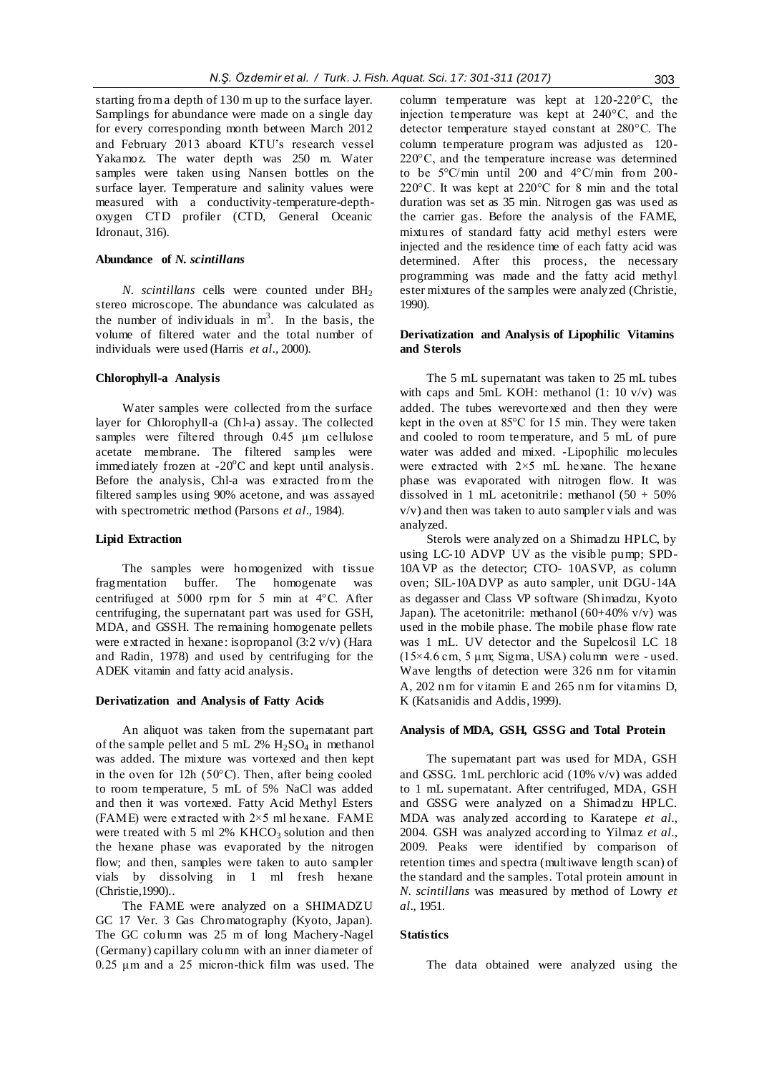starting from a depth of 130 m up to the surface layer. Samplings for abundance were made on a single day for every corresponding month between March 2012 and February 2013 aboard KTU's research vessel Yakamoz. The water depth was 250 m. Water samples were taken using Nansen bottles on the surface layer. Temperature and salinity values were measured with a conductivity-temperature-depthoxygen CTD profiler (CTD, General Oceanic Idronaut, 316).

### **Abundance of** *N. scintillans*

*N. scintillans* cells were counted under BH<sub>2</sub> stereo microscope. The abundance was calculated as the number of individuals in  $m<sup>3</sup>$ . In the basis, the volume of filtered water and the total number of individuals were used (Harris *et al.,* 2000).

#### **Chlorophyll-a Analysis**

Water samples were collected from the surface layer for Chlorophyll-a (Chl-a) assay. The collected samples were filtered through 0.45 µm cellulose acetate membrane. The filtered samples were immediately frozen at  $-20^{\circ}$ C and kept until analysis. Before the analysis, Chl-a was extracted from the filtered samples using 90% acetone, and was assayed with spectrometric method (Parsons *et al*., 1984).

#### **Lipid Extraction**

The samples were homogenized with tissue fragmentation buffer. The homogenate was centrifuged at 5000 rpm for 5 min at 4°C. After centrifuging, the supernatant part was used for GSH, MDA, and GSSH. The remaining homogenate pellets were extracted in hexane: isopropanol (3:2 v/v) (Hara and Radin, 1978) and used by centrifuging for the ADEK vitamin and fatty acid analysis.

#### **Derivatization and Analysis of Fatty Acids**

An aliquot was taken from the supernatant part of the sample pellet and 5 mL 2%  $H<sub>2</sub>SO<sub>4</sub>$  in methanol was added. The mixture was vortexed and then kept in the oven for 12h (50°C). Then, after being cooled to room temperature, 5 mL of 5% NaCl was added and then it was vortexed. Fatty Acid Methyl Esters (FAME) were extracted with  $2 \times 5$  ml hexane. FAME were treated with 5 ml  $2\%$  KHCO<sub>3</sub> solution and then the hexane phase was evaporated by the nitrogen flow; and then, samples were taken to auto sampler vials by dissolving in 1 ml fresh hexane (Christie,1990)..

The FAME were analyzed on a SHIMADZU GC 17 Ver. 3 Gas Chromatography (Kyoto, Japan). The GC column was 25 m of long Machery-Nagel (Germany) capillary column with an inner diameter of 0.25 μm and a 25 micron-thick film was used. The column temperature was kept at 120-220°C, the injection temperature was kept at 240°C, and the detector temperature stayed constant at 280°C. The column temperature program was adjusted as 120- 220°C, and the temperature increase was determined to be 5°C/min until 200 and 4°C/min from 200- 220°C. It was kept at 220°C for 8 min and the total duration was set as 35 min. Nitrogen gas was used as the carrier gas. Before the analysis of the FAME, mixtures of standard fatty acid methyl esters were injected and the residence time of each fatty acid was determined. After this process, the necessary programming was made and the fatty acid methyl ester mixtures of the samples were analyzed (Christie, 1990).

#### **Derivatization and Analysis of Lipophilic Vitamins and Sterols**

The 5 mL supernatant was taken to 25 mL tubes with caps and 5mL KOH: methanol  $(1: 10 \text{ v/v})$  was added. The tubes werevortexed and then they were kept in the oven at 85°C for 15 min. They were taken and cooled to room temperature, and 5 mL of pure water was added and mixed. -Lipophilic molecules were extracted with  $2 \times 5$  mL hexane. The hexane phase was evaporated with nitrogen flow. It was dissolved in 1 mL acetonitrile: methanol (50 + 50% v/v) and then was taken to auto sampler vials and was analyzed.

Sterols were analyzed on a Shimadzu HPLC, by using LC-10 ADVP UV as the visible pump; SPD-10AVP as the detector; CTO- 10ASVP, as column oven; SIL-10ADVP as auto sampler, unit DGU-14A as degasser and Class VP software (Shimadzu, Kyoto Japan). The acetonitrile: methanol  $(60+40\%$  v/v) was used in the mobile phase. The mobile phase flow rate was 1 mL. UV detector and the Supelcosil LC 18  $(15\times4.6 \text{ cm}, 5 \mu \text{m})$ ; Sigma, USA) column were - used. Wave lengths of detection were 326 nm for vitamin A, 202 nm for vitamin E and 265 nm for vitamins D, K (Katsanidis and Addis, 1999).

# **Analysis of MDA, GSH, GSSG and Total Protein**

The supernatant part was used for MDA, GSH and GSSG. 1mL perchloric acid (10% v/v) was added to 1 mL supernatant. After centrifuged, MDA, GSH and GSSG were analyzed on a Shimadzu HPLC. MDA was analyzed according to Karatepe *et al.*, 2004. GSH was analyzed according to Yilmaz *et al.*, 2009. Peaks were identified by comparison of retention times and spectra (multiwave length scan) of the standard and the samples. Total protein amount in *N. scintillans* was measured by method of Lowry *et al*., 1951.

## **Statistics**

The data obtained were analyzed using the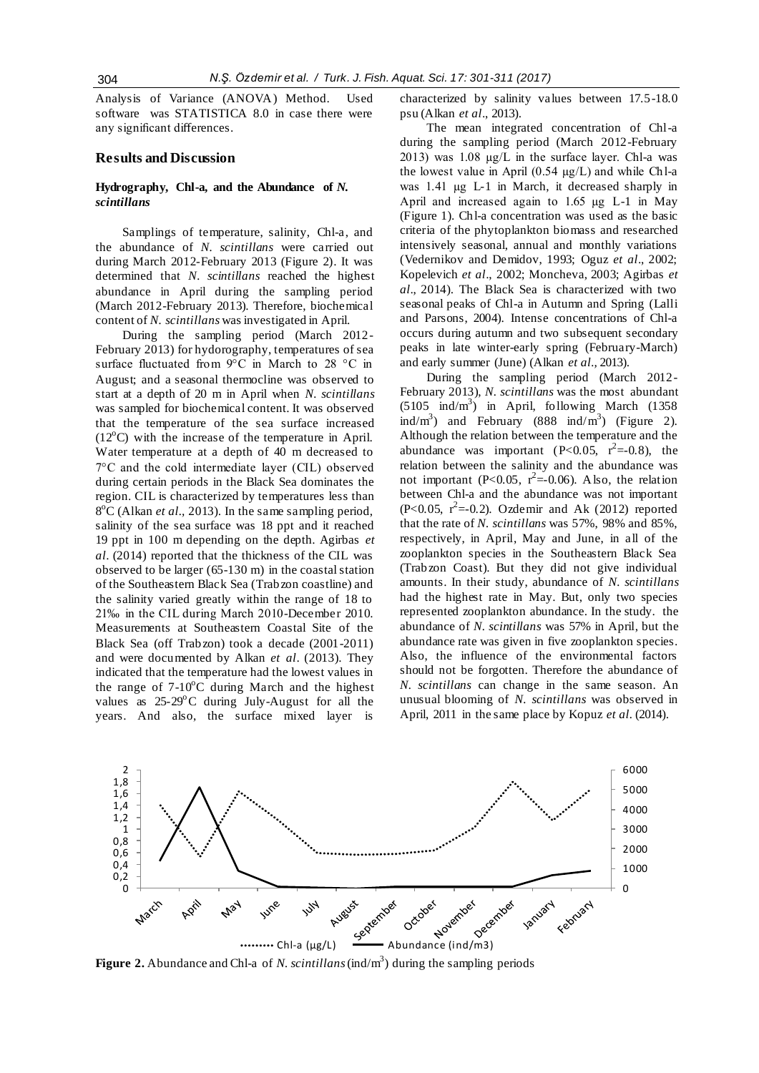Analysis of Variance (ANOVA) Method. Used software was STATISTICA 8.0 in case there were any significant differences.

#### **Results and Discussion**

# **Hydrography, Chl-a, and the Abundance of** *N. scintillans*

Samplings of temperature, salinity, Chl-a, and the abundance of *N. scintillans* were carried out during March 2012-February 2013 (Figure 2). It was determined that *N. scintillans* reached the highest abundance in April during the sampling period (March 2012-February 2013). Therefore, biochemical content of *N. scintillans* was investigated in April.

During the sampling period (March 2012- February 2013) for hydorography, temperatures of sea surface fluctuated from 9°C in March to 28 °C in August; and a seasonal thermocline was observed to start at a depth of 20 m in April when *N. scintillans* was sampled for biochemical content. It was observed that the temperature of the sea surface increased  $(12^{\circ}$ C) with the increase of the temperature in April. Water temperature at a depth of 40 m decreased to 7°C and the cold intermediate layer (CIL) observed during certain periods in the Black Sea dominates the region. CIL is characterized by temperatures less than 8<sup>o</sup>C (Alkan *et al.*, 2013). In the same sampling period, salinity of the sea surface was 18 ppt and it reached 19 ppt in 100 m depending on the depth. Agirbas *et al*. (2014) reported that the thickness of the CIL was observed to be larger (65-130 m) in the coastal station of the Southeastern Black Sea (Trabzon coastline) and the salinity varied greatly within the range of 18 to 21‰ in the CIL during March 2010-December 2010. Measurements at Southeastern Coastal Site of the Black Sea (off Trabzon) took a decade (2001-2011) and were documented by Alkan *et al*. (2013). They indicated that the temperature had the lowest values in the range of  $7-10^{\circ}$ C during March and the highest values as  $25-29$ °C during July-August for all the years. And also, the surface mixed layer is

characterized by salinity values between 17.5-18.0 psu (Alkan *et al*., 2013).

The mean integrated concentration of Chl-a during the sampling period (March 2012-February 2013) was 1.08 µg/L in the surface layer. Chl-a was the lowest value in April (0.54 µg/L) and while Chl-a was 1.41 µg L-1 in March, it decreased sharply in April and increased again to 1.65 µg L-1 in May (Figure 1). Chl-a concentration was used as the basic criteria of the phytoplankton biomass and researched intensively seasonal, annual and monthly variations (Vedernikov and Demidov, 1993; Oguz *et al*., 2002; Kopelevich *et al*., 2002; Moncheva, 2003; Agirbas *et al*., 2014). The Black Sea is characterized with two seasonal peaks of Chl-a in Autumn and Spring (Lalli and Parsons, 2004). Intense concentrations of Chl-a occurs during autumn and two subsequent secondary peaks in late winter-early spring (February-March) and early summer (June) (Alkan *et al.,* 2013).

During the sampling period (March 2012- February 2013), *N. scintillans* was the most abundant  $(5105 \text{ ind/m}^3)$  in April, following March (1358) ind/m<sup>3</sup>) and February (888 ind/m<sup>3</sup>) (Figure 2). Although the relation between the temperature and the abundance was important (P<0.05,  $r^2 = 0.8$ ), the relation between the salinity and the abundance was not important (P<0.05,  $r^2 = 0.06$ ). Also, the relation between Chl-a and the abundance was not important (P<0.05,  $r^2 = -0.2$ ). Ozdemir and Ak (2012) reported that the rate of *N. scintillans* was 57%, 98% and 85%, respectively, in April, May and June, in all of the zooplankton species in the Southeastern Black Sea (Trabzon Coast). But they did not give individual amounts. In their study, abundance of *N. scintillans* had the highest rate in May. But, only two species represented zooplankton abundance. In the study. the abundance of *N. scintillans* was 57% in April, but the abundance rate was given in five zooplankton species. Also, the influence of the environmental factors should not be forgotten. Therefore the abundance of *N. scintillans* can change in the same season. An unusual blooming of *N. scintillans* was observed in April, 2011 in the same place by Kopuz *et al.* (2014).



**Figure 2.** Abundance and Chl-a of *N. scintillans* (ind/m<sup>3</sup>) during the sampling periods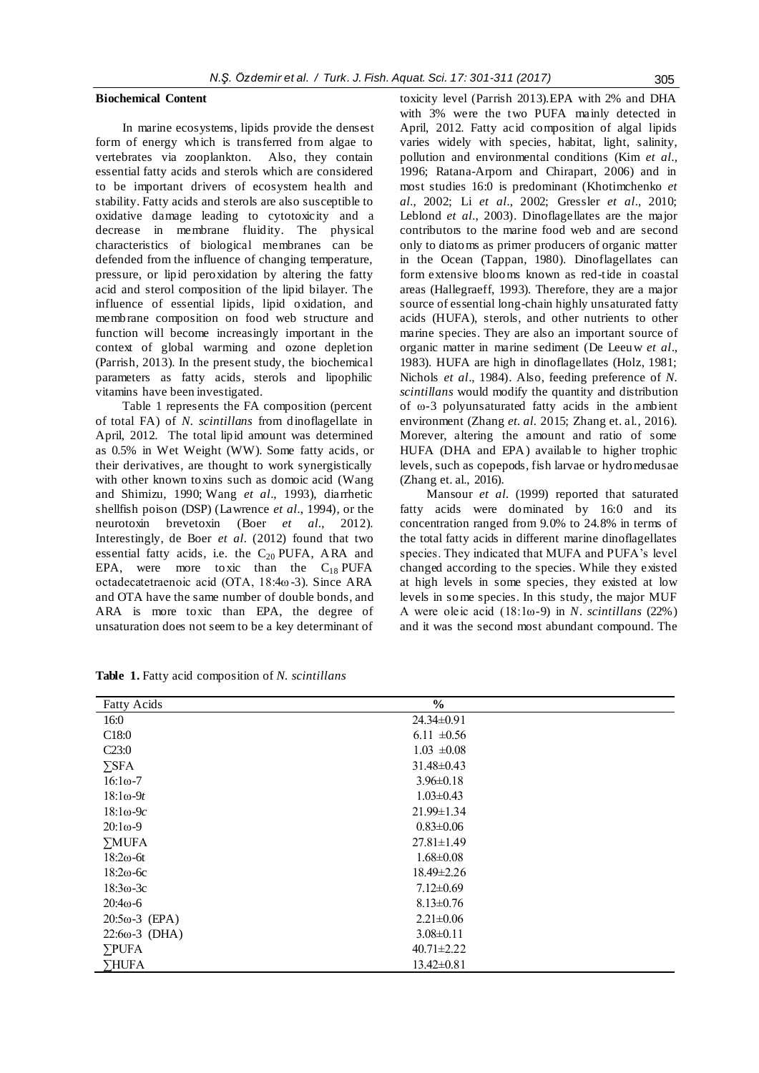#### **Biochemical Content**

In marine ecosystems, lipids provide the densest form of energy which is transferred from algae to vertebrates via zooplankton. Also, they contain essential fatty acids and sterols which are considered to be important drivers of ecosystem health and stability. Fatty acids and sterols are also susceptible to oxidative damage leading to cytotoxicity and a decrease in membrane fluidity. The physical characteristics of biological membranes can be defended from the influence of changing temperature, pressure, or lipid peroxidation by altering the fatty acid and sterol composition of the lipid bilayer. The influence of essential lipids, lipid oxidation, and membrane composition on food web structure and function will become increasingly important in the context of global warming and ozone depletion (Parrish, 2013). In the present study, the biochemical parameters as fatty acids, sterols and lipophilic vitamins have been investigated.

Table 1 represents the FA composition (percent of total FA) of *N. scintillans* from dinoflagellate in April, 2012. The total lipid amount was determined as 0.5% in Wet Weight (WW). Some fatty acids, or their derivatives, are thought to work synergistically with other known toxins such as domoic acid [\(Wang](http://www.hindawi.com/journals/isrn/2013/604045/#B117) and Shimizu, 1990; [Wang](http://www.hindawi.com/journals/isrn/2013/604045/#B117) *et al*., 1993), diarrhetic shellfish poison (DSP) (Lawrence *et al.*, 1994), or the neurotoxin brevetoxin (Boer *et al.*, 2012). brevetoxin [\(Boer](http://www.hindawi.com/journals/isrn/2013/604045/#B35) *et al.*, 2012). Interestingly, de Boer *et al.* (2012) found that two essential fatty acids, i.e. the  $C_{20}$  PUFA, ARA and EPA, were more toxic than the  $C_{18}$  PUFA octadecatetraenoic acid (OTA, 18:4ω-3). Since ARA and OTA have the same number of double bonds, and ARA is more toxic than EPA, the degree of unsaturation does not seem to be a key determinant of toxicity level (Parrish 2013).EPA with 2% and DHA with 3% were the two PUFA mainly detected in April, 2012. Fatty acid composition of algal lipids varies widely with species, habitat, light, salinity, pollution and environmental conditions (Kim *et al.,* 1996; Ratana-Arporn and Chirapart, 2006) and in most studies 16:0 is predominant (Khotimchenko *et al.*, 2002; Li *et al.*, 2002; Gressler *et al.*, 2010; Leblond *et al.*, 2003). Dinoflagellates are the major contributors to the marine food web and are second only to diatoms as primer producers of organic matter in the Ocean (Tappan, 1980). Dinoflagellates can form extensive blooms known as red-tide in coastal areas (Hallegraeff, 1993). Therefore, they are a major source of essential long-chain highly unsaturated fatty acids (HUFA), sterols, and other nutrients to other marine species. They are also an important source of organic matter in marine sediment (De Leeuw *et al*., 1983). HUFA are high in dinoflagellates (Holz, 1981; Nichols *et al*., 1984). Also, feeding preference of *N. scintillans* would modify the quantity and distribution of ω-3 polyunsaturated fatty acids in the ambient environment (Zhang *et. al.* 2015; Zhang et. al., 2016). Morever, altering the amount and ratio of some HUFA (DHA and EPA) available to higher trophic levels, such as copepods, fish larvae or hydromedusae (Zhang et. al., 2016).

Mansour *et al.* (1999) reported that saturated fatty acids were dominated by 16:0 and its concentration ranged from 9.0% to 24.8% in terms of the total fatty acids in different marine dinoflagellates species. They indicated that MUFA and PUFA's level changed according to the species. While they existed at high levels in some species, they existed at low levels in some species. In this study, the major MUF A were oleic acid (18:1ω-9) in *N. scintillans* (22%) and it was the second most abundant compound. The

| <b>Fatty Acids</b>     | $\frac{6}{6}$    |  |
|------------------------|------------------|--|
| 16:0                   | $24.34\pm0.91$   |  |
| C <sub>18:0</sub>      | 6.11 $\pm 0.56$  |  |
| C23:0                  | $1.03 \pm 0.08$  |  |
| $\Sigma$ SFA           | $31.48 \pm 0.43$ |  |
| $16:1\omega - 7$       | $3.96 \pm 0.18$  |  |
| $18:1\omega-9t$        | $1.03 \pm 0.43$  |  |
| $18:1\omega-9c$        | $21.99 \pm 1.34$ |  |
| $20:1\omega - 9$       | $0.83 \pm 0.06$  |  |
| $\Sigma MUFA$          | $27.81 \pm 1.49$ |  |
| $18:2\omega$ -6t       | $1.68 \pm 0.08$  |  |
| $18:2\omega$ -6c       | $18.49 \pm 2.26$ |  |
| $18:3\omega - 3c$      | $7.12 \pm 0.69$  |  |
| $20:4\omega - 6$       | $8.13 \pm 0.76$  |  |
| $20:5\omega - 3$ (EPA) | $2.21 \pm 0.06$  |  |
| $22:6\omega - 3$ (DHA) | $3.08 \pm 0.11$  |  |
| $\Sigma$ PUFA          | $40.71 \pm 2.22$ |  |
| ∑HUFA                  | $13.42 \pm 0.81$ |  |

**Table 1.** Fatty acid composition of *N. scintillans*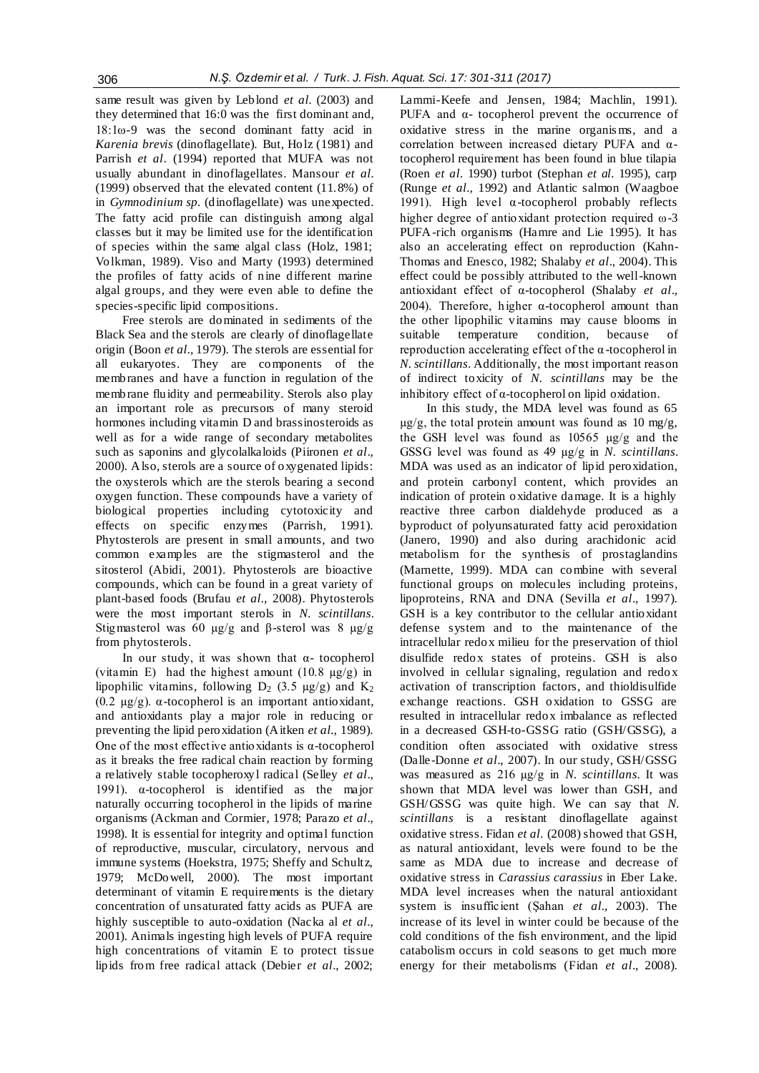same result was given by Leblond et al. (2003) and they determined that 16:0 was the first dominant and, 18:1ω-9 was the second dominant fatty acid in *Karenia brevis* (dinoflagellate). But, Holz (1981) and Parrish *et al*. (1994) reported that MUFA was not usually abundant in dinoflagellates. Mansour *et al.* (1999) observed that the elevated content (11.8%) of in *Gymnodinium sp.* (dinoflagellate) was unexpected. The fatty acid profile can distinguish among algal classes but it may be limited use for the identification of species within the same algal class (Holz, 1981; Volkman, 1989). Viso and Marty (1993) determined the profiles of fatty acids of nine different marine algal groups, and they were even able to define the species-specific lipid compositions.

Free sterols are dominated in sediments of the Black Sea and the sterols are clearly of dinoflagellate origin (Boon *et al.,* 1979). The sterols are essential for all eukaryotes. They are components of the membranes and have a function in regulation of the membrane fluidity and permeability. Sterols also play an important role as precursors of many steroid hormones including vitamin D and brassinosteroids as well as for a wide range of secondary metabolites such as saponins and glycolalkaloids (Piironen *et al*., 2000). Also, sterols are a source of oxygenated lipids: the oxysterols which are the sterols bearing a second oxygen function. These compounds have a variety of biological properties including cytotoxicity and effects on specific enzymes (Parrish, 1991). Phytosterols are present in small amounts, and two common examples are the stigmasterol and the sitosterol (Abidi, 2001). Phytosterols are bioactive compounds, which can be found in a great variety of plant-based foods (Brufau *et al.,* 2008). Phytosterols were the most important sterols in *N. scintillans*. Stigmasterol was 60 μg/g and β-sterol was 8 μg/g from phytosterols.

In our study, it was shown that  $α-$  tocopherol (vitamin E) had the highest amount  $(10.8 \text{ µg/g})$  in lipophilic vitamins, following  $D_2$  (3.5  $\mu$ g/g) and K<sub>2</sub> (0.2 µg/g). α-tocopherol is an important antioxidant, and antioxidants play a major role in reducing or preventing the lipid peroxidation (Aitken *et al.*, 1989). One of the most effective antioxidants is  $\alpha$ -tocopherol as it breaks the free radical chain reaction by forming a relatively stable tocopheroxyl radical (Selley *et al*., 1991). α-tocopherol is identified as the major naturally occurring tocopherol in the lipids of marine organisms (Ackman and Cormier, 1978; Parazo *et al*., 1998). It is essential for integrity and optimal function of reproductive, muscular, circulatory, nervous and immune systems (Hoekstra, 1975; Sheffy and Schultz, 1979; McDowell, 2000). The most important determinant of vitamin E requirements is the dietary concentration of unsaturated fatty acids as PUFA are highly susceptible to auto-oxidation (Nacka al *et al.*, 2001). Animals ingesting high levels of PUFA require high concentrations of vitamin E to protect tissue lipids from free radical attack (Debier *et al*., 2002; Lammi-Keefe and Jensen, 1984; Machlin, 1991). PUFA and  $α$ - tocopherol prevent the occurrence of oxidative stress in the marine organis ms, and a correlation between increased dietary PUFA and αtocopherol requirement has been found in blue tilapia (Roen *et al.* 1990) turbot (Stephan *et al.* 1995), carp (Runge *et al.,* 1992) and Atlantic salmon (Waagboe 1991). High level α-tocopherol probably reflects higher degree of antioxidant protection required ω-3 PUFA-rich organisms (Hamre and Lie 1995). It has also an accelerating effect on reproduction (Kahn-Thomas and Enesco, 1982; Shalaby *et al*., 2004). This effect could be possibly attributed to the well-known antioxidant effect of α-tocopherol (Shalaby *et al*., 2004). Therefore, higher  $\alpha$ -tocopherol amount than the other lipophilic vitamins may cause blooms in suitable temperature condition, because of reproduction accelerating effect of the α -tocopherol in *N. scintillans*. Additionally, the most important reason of indirect toxicity of *N. scintillans* may be the inhibitory effect of α-tocopherol on lipid oxidation.

In this study, the MDA level was found as 65  $\mu$ g/g, the total protein amount was found as 10 mg/g, the GSH level was found as 10565 µg/g and the GSSG level was found as 49 µg/g in *N. scintillans*. MDA was used as an indicator of lipid peroxidation, and protein carbonyl content, which provides an indication of protein oxidative damage. It is a highly reactive three carbon dialdehyde produced as a byproduct of polyunsaturated fatty acid peroxidation (Janero, 1990) and also during arachidonic acid metabolism for the synthesis of prostaglandins (Marnette, 1999). MDA can combine with several functional groups on molecules including proteins, lipoproteins, RNA and DNA (Sevilla *et al*., 1997). GSH is a key contributor to the cellular antioxidant defense system and to the maintenance of the intracellular redox milieu for the preservation of thiol disulfide redox states of proteins. GSH is also involved in cellular signaling, regulation and redox activation of transcription factors, and thioldisulfide exchange reactions. GSH oxidation to GSSG are resulted in intracellular redox imbalance as reflected in a decreased GSH-to-GSSG ratio (GSH/GSSG), a condition often associated with oxidative stress (Dalle-Donne *et al*., 2007). In our study, GSH/GSSG was measured as 216 µg/g in *N. scintillans*. It was shown that MDA level was lower than GSH, and GSH/GSSG was quite high. We can say that *N. scintillans* is a resistant dinoflagellate against oxidative stress. Fidan *et al.* (2008) showed that GSH, as natural antioxidant, levels were found to be the same as MDA due to increase and decrease of oxidative stress in *Carassius carassius* in Eber Lake. MDA level increases when the natural antioxidant system is insufficient (Şahan *et al.*, 2003). The increase of its level in winter could be because of the cold conditions of the fish environment, and the lipid catabolism occurs in cold seasons to get much more energy for their metabolisms (Fidan *et al*., 2008).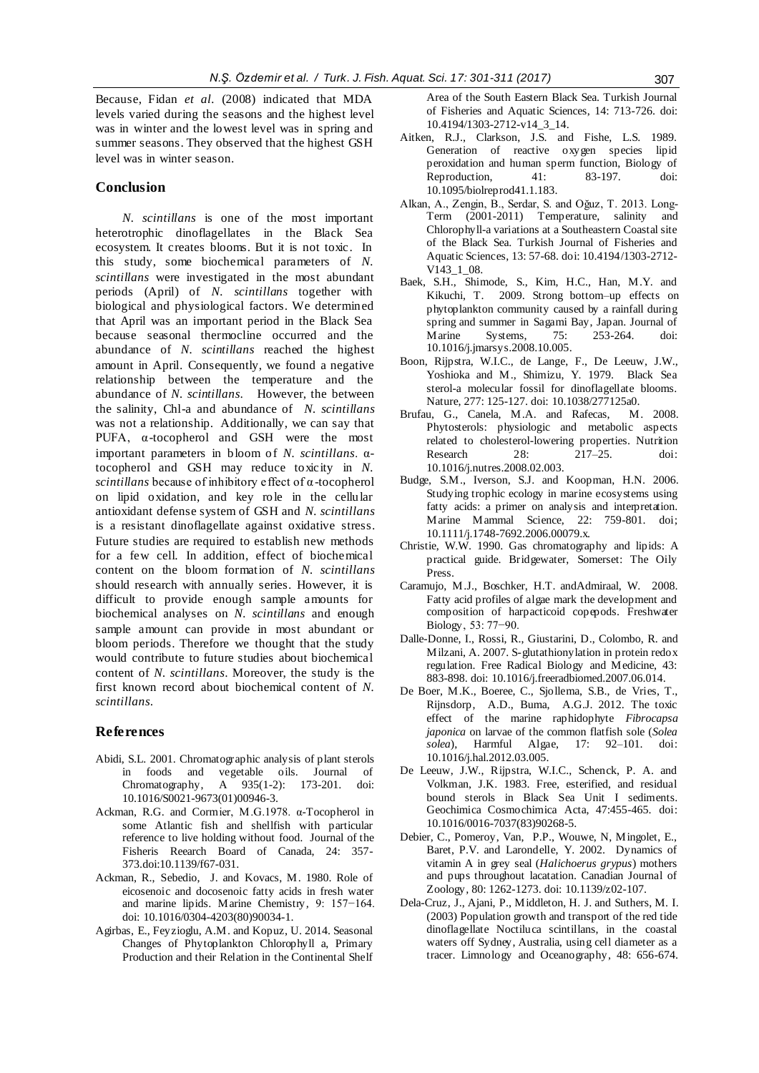Because, Fidan *et al.* (2008) indicated that MDA levels varied during the seasons and the highest level was in winter and the lowest level was in spring and summer seasons. They observed that the highest GSH level was in winter season.

# **Conclusion**

*N. scintillans* is one of the most important heterotrophic dinoflagellates in the Black Sea ecosystem. It creates blooms. But it is not toxic. In this study, some biochemical parameters of *N. scintillans* were investigated in the most abundant periods (April) of *N. scintillans* together with biological and physiological factors. We determined that April was an important period in the Black Sea because seasonal thermocline occurred and the abundance of *N. scintillans* reached the highest amount in April. Consequently, we found a negative relationship between the temperature and the abundance of *N. scintillans*. However, the between the salinity, Chl-a and abundance of *N. scintillans* was not a relationship. Additionally, we can say that PUFA, α-tocopherol and GSH were the most important parameters in bloom of *N. scintillans*. αtocopherol and GSH may reduce toxicity in *N. scintillans* because of inhibitory effect of α-tocopherol on lipid oxidation, and key role in the cellular antioxidant defense system of GSH and *N. scintillans* is a resistant dinoflagellate against oxidative stress. Future studies are required to establish new methods for a few cell. In addition, effect of biochemical content on the bloom formation of *N. scintillans* should research with annually series. However, it is difficult to provide enough sample amounts for biochemical analyses on *N. scintillans* and enough sample amount can provide in most abundant or bloom periods. Therefore we thought that the study would contribute to future studies about biochemical content of *N. scintillans*. Moreover, the study is the first known record about biochemical content of *N. scintillans*.

#### **References**

- Abidi, S.L. 2001. Chromatographic analysis of plant sterols in foods and vegetable oils. Journal of Chromatography, A 935(1-2): 173-201. doi: 10.1016/S0021-9673(01)00946-3.
- Ackman, R.G. and Cormier, M.G.1978. α-Tocopherol in some Atlantic fish and shellfish with particular reference to live holding without food*.* Journal of the Fisheris Reearch Board of Canada, 24: 357- 373[.doi:10.1139/f67-031.](doi:10.1139/f67-031)
- Ackman, R., Sebedio, J. and Kovacs, M. 1980. Role of eicosenoic and docosenoic fatty acids in fresh water and marine lipids. Marine Chemistry*,* 9: 157−164. [doi: 10.1016/0304-4203\(80\)90034-1.](http://dx.doi.org/10.1016/0304-4203(80)90034-1)
- Agirbas, E., Feyzioglu, A.M. and Kopuz, U. 2014. Seasonal Changes of Phytoplankton Chlorophyll a, Primary Production and their Relation in the Continental Shelf

Area of the South Eastern Black Sea. Turkish Journal of Fisheries and Aquatic Sciences, 14: 713-726. [doi:](doi:%2010.4194/1303-2712-v14_3_14)  [10.4194/1303-2712-v14\\_3\\_14.](doi:%2010.4194/1303-2712-v14_3_14)

- Aitken, R.J., Clarkson, J.S. and Fishe, L.S. 1989. Generation of reactive oxygen species lipid peroxidation and human sperm function, Biology of<br>Reproduction, 41: 83-197, doi: Reproduction, 41: [10.1095/biolreprod41.1.183.](doi:%2010.1095/biolreprod41.1.183)
- Alkan, A., Zengin, B., Serdar, S. and Oğuz, T. 2013. Long-Term (2001-2011) Temperature, salinity and Chlorophyll-a variations at a Southeastern Coastal site of the Black Sea. Turkish Journal of Fisheries and Aquatic Sciences, 13: 57-68. [doi:](../AppData/Roaming/Microsoft/Word/nictuluca%20scintillans/doi) 10.4194/1303-2712- V143\_1\_08.
- Baek, S.H., Shimode, S., Kim, H.C., Han, M.Y. and Kikuchi, T. 2009. Strong bottom–up effects on phytoplankton community caused by a rainfall during spring and summer in Sagami Bay, Japan. Journal of Marine Systems, 75: 253-264. [doi:](doi:%2010.1016/j.jmarsys.2008.10.005)  [10.1016/j.jmarsys.2008.10.005.](doi:%2010.1016/j.jmarsys.2008.10.005)
- Boon, Rijpstra, W.I.C., de Lange, F., De Leeuw, J.W., Yoshioka and M., Shimizu, Y. 1979. Black Sea sterol-a molecular fossil for dinoflagellate blooms. Nature, 277: 125-127[. doi: 10.1038/277125a0.](doi:%2010.1038/277125a0)<br>
uu, G., Canela, M.A. and Rafecas, M. 2008.
- Brufau, G., Canela, M.A. and Rafecas, Phytosterols: physiologic and metabolic aspects related to cholesterol-lowering properties. Nutrition Research 28: 217–25. doi: 10.1016/j.nutres.2008.02.003.
- Budge, S.M., Iverson, S.J. and Koopman, H.N. 2006. Studying trophic ecology in marine ecosystems using fatty acids: a primer on analysis and interpretation. Marine Mammal Science, 22: 759-801. [doi;](../AppData/Roaming/Microsoft/Word/nictuluca%20scintillans/doi;%2010.1111/j.1748-7692.2006.00079.x)  [10.1111/j.1748-7692.2006.00079.x.](../AppData/Roaming/Microsoft/Word/nictuluca%20scintillans/doi;%2010.1111/j.1748-7692.2006.00079.x)
- Christie, W.W. 1990. Gas chromatography and lipids: A practical guide. Bridgewater, Somerset: The Oily Press.
- Caramujo, M.J., Boschker, H.T. andAdmiraal, W. 2008. Fatty acid profiles of algae mark the development and composition of harpacticoid copepods. Freshwater Biology, 53: 77−90.
- Dalle-Donne, I., Rossi, R., Giustarini, D., Colombo, R. and Milzani, A. 2007. S-glutathionylation in protein redox regulation. Free Radical Biology and Medicine, 43: 883-898[. doi: 10.1016/j.freeradbiomed.2007.06.014.](doi:%2010.1016/j.freeradbiomed.2007.06.014)
- De Boer, M.K., Boeree, C., Sjollema, S.B., de Vries, T., Rijnsdorp, A.D., Buma, A.G.J. 2012. The toxic effect of the marine raphidophyte *Fibrocapsa japonica* on larvae of the common flatfish sole (*Solea solea*), Harmful Algae, 17: 92–101. doi:  $solea$ ), Harmful Algae, [10.1016/j.hal.2012.03.005.](doi:%2010.1016/j.hal.2012.03.005)
- De Leeuw, J.W., Rijpstra, W.I.C., Schenck, P. A. and Volkman, J.K. 1983. Free, esterified, and residual bound sterols in Black Sea Unit I sediments. Geochimica Cosmochimica Acta, 47:455-465. [doi:](http://dx.doi.org/10.1016/0016-7037(83)90268-5)  [10.1016/0016-7037\(83\)90268-5.](http://dx.doi.org/10.1016/0016-7037(83)90268-5)
- Debier, C., Pomeroy, Van, P.P., Wouwe, N, Mingolet, E., Baret, P.V. and Larondelle, Y. 2002. Dynamics of vitamin A in grey seal (*Halichoerus grypus*) mothers and pups throughout lacatation. Canadian Journal of Zoology*,* 80: 1262-1273[. doi: 10.1139/z02-107.](doi:%2010.1139/z02-107)
- Dela-Cruz, J., Ajani, P., Middleton, H. J. and Suthers, M. I. (2003) Population growth and transport of the red tide dinoflagellate Noctiluca scintillans, in the coastal waters off Sydney, Australia, using cell diameter as a tracer. Limnology and Oceanography, 48: 656-674.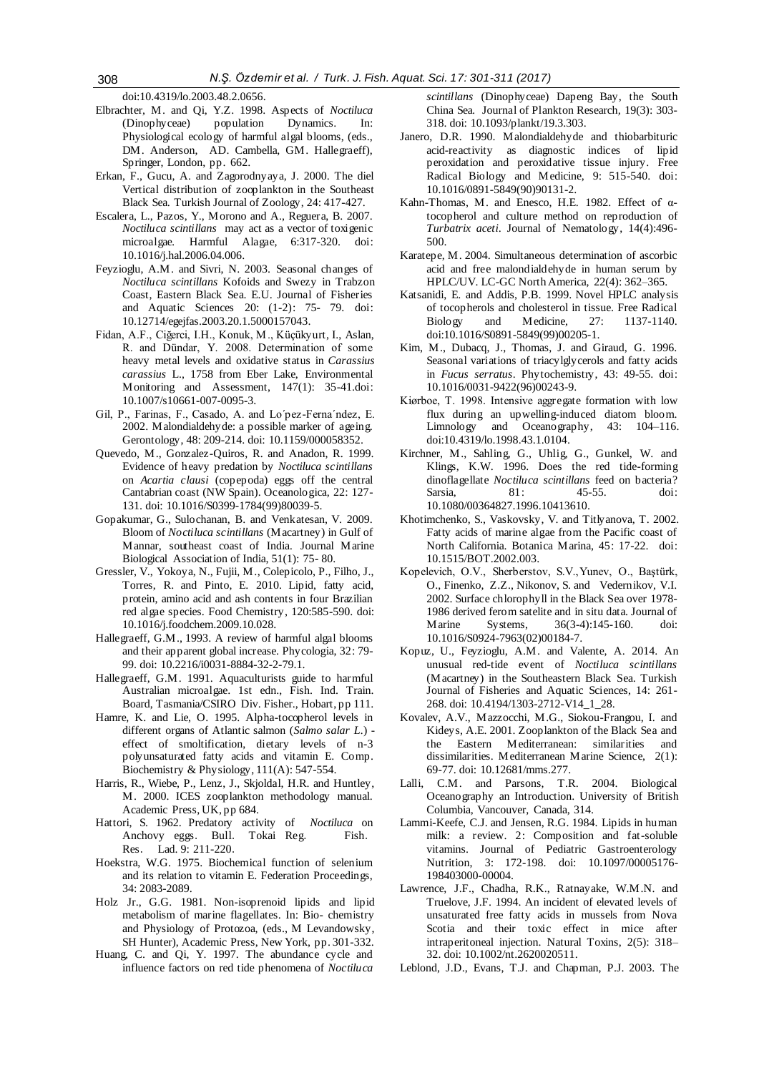doi[:10.4319/lo.2003.48.2.0656.](http://dx.doi.org/10.4319/lo.2003.48.2.0656)

- Elbrachter, M. and Qi, Y.Z. 1998. Aspects of *Noctiluca*  (Dinophyceae) population Dynamics. In: Physiological ecology of harmful algal blooms, (eds., DM. Anderson, AD. Cambella, GM. Hallegraeff), Springer, London, pp. 662.
- Erkan, F., Gucu, A. and Zagorodnyaya, J. 2000. The diel Vertical distribution of zooplankton in the Southeast Black Sea. Turkish Journal of Zoology, 24: 417-427.
- Escalera, L., Pazos, Y., Morono and A., Reguera, B. 2007. *Noctiluca scintillans* may act as a vector of toxigenic microalgae*.* Harmful Alagae, 6:317-320. [doi:](doi:%2010.1016/j.hal.2006.04.006)  [10.1016/j.hal.2006.04.006.](doi:%2010.1016/j.hal.2006.04.006)
- Feyzioglu, A.M. and Sivri, N. 2003. Seasonal changes of *Noctiluca scintillans* Kofoids and Swezy in Trabzon Coast, Eastern Black Sea. E.U. Journal of Fisheries and Aquatic Sciences 20: (1-2): 75- 79. doi: [10.12714/egejfas.2003.20.1.5000157043.](http://dx.doi.org/10.12714/egejfas.2003.20.1.5000157043)
- Fidan, A.F., Ciğerci, I.H., Konuk, M., Küçükyurt, I., Aslan, R. and Dündar, Y. 2008. Determination of some heavy metal levels and oxidative status in *Carassius carassius* L., 1758 from Eber Lake, Environmental Monitoring and Assessment, 147(1): 35-41[.doi:](doi:%2010.1007/s10661-007-0095-3)  [10.1007/s10661-007-0095-3.](doi:%2010.1007/s10661-007-0095-3)
- Gil, P., Farinas, F., Casado, A. and Lo´pez-Ferna´ndez, E. 2002. Malondialdehyde: a possible marker of ageing. Gerontology, 48: 209-214[. doi: 10.1159/000058352.](doi:%2010.1159/000058352)
- Quevedo, M., Gonzalez-Quiros, R. and Anadon, R. 1999. Evidence of heavy predation by *Noctiluca scintillans*  on *Acartia clausi* (copepoda) eggs off the central Cantabrian coast (NW Spain). Oceanologica, 22: 127- 131. [doi: 10.1016/S0399-1784\(99\)80039-5.](doi:%2010.1016/S0399-1784(99)80039-5)
- Gopakumar, G., Sulochanan, B. and Venkatesan, V. 2009. Bloom of *Noctiluca scintillans* (Macartney) in Gulf of Mannar, southeast coast of India*.* Journal Marine Biological Association of India, 51(1): 75- 80.
- Gressler, V., Yokoya, N., Fujii, M., Colepicolo, P., Filho, J., Torres, R. and Pinto, E. 2010. Lipid, fatty acid, protein, amino acid and ash contents in four Brazilian red algae species. Food Chemistry, 120:585-590[. doi:](doi:%2010.1016/j.foodchem.2009.10.028)  [10.1016/j.foodchem.2009.10.028.](doi:%2010.1016/j.foodchem.2009.10.028)
- Hallegraeff, G.M., 1993. A review of harmful algal blooms and their apparent global increase. Phycologia, 32: 79- 99. [doi: 10.2216/i0031-8884-32-2-79.1.](doi:%2010.2216/i0031-8884-32-2-79.1)
- Hallegraeff, G.M. 1991. Aquaculturists guide to harmful Australian microalgae. 1st edn., Fish. Ind. Train. Board, Tasmania/CSIRO Div. Fisher., Hobart, pp 111.
- Hamre, K. and Lie, O. 1995. Alpha-tocopherol levels in different organs of Atlantic salmon (*Salmo salar L.*) effect of smoltification, dietary levels of n-3 polyunsaturated fatty acids and vitamin E. Comp. Biochemistry & Physiology, 111(A): 547-554.
- Harris, R., Wiebe, P., Lenz, J., Skjoldal, H.R. and Huntley, M. 2000. ICES zooplankton methodology manual. Academic Press, UK, pp 684.
- Hattori, S. 1962. Predatory activity of *Noctiluca* on Anchovy eggs. Bull. Tokai Reg. Fish. Res. Lad. 9: 211-220.
- Hoekstra, W.G. 1975. Biochemical function of selenium and its relation to vitamin E. Federation Proceedings, 34: 2083-2089.
- Holz Jr., G.G. 1981. Non-isoprenoid lipids and lipid metabolism of marine flagellates. In: Bio- chemistry and Physiology of Protozoa, (eds., M Levandowsky, SH Hunter), Academic Press, New York, pp. 301-332.
- Huang, C. and Qi, Y. 1997. The abundance cycle and influence factors on red tide phenomena of *Noctiluca*

*scintillans* (Dinophyceae) Dapeng Bay, the South China Sea*.* Journal of Plankton Research*,* 19(3): 303- 318[. doi: 10.1093/plankt/19.3.303.](doi:%2010.1093/plankt/19.3.303)

- Janero, D.R. 1990. Malondialdehyde and thiobarbituric acid-reactivity as diagnostic indices of lipid peroxidation and peroxidative tissue injury. Free Radical Biology and Medicine, 9: 515-540. [doi:](doi:%2010.1016/0891-5849(90)90131-2)  [10.1016/0891-5849\(90\)90131-2.](doi:%2010.1016/0891-5849(90)90131-2)
- Kahn-Thomas, M. and Enesco, H.E. 1982. Effect of αtocopherol and culture method on reproduction of *Turbatrix aceti*. Journal of Nematology, 14(4):496- 500.
- Karatepe, M. 2004. Simultaneous determination of ascorbic acid and free malondialdehyde in human serum by HPLC/UV. LC-GC North America, 22(4): 362–365.
- Katsanidi, E. and Addis, P.B. 1999. Novel HPLC analysis of tocopherols and cholesterol in tissue. Free Radical Biology and Medicine, 27: 1137-1140. [doi:10.1016/S0891-5849\(99\)00205-1.](doi:10.1016/S0891-5849(99)00205-1)
- Kim, M., Dubacq, J., Thomas, J. and Giraud, G. 1996. Seasonal variations of triacylglycerols and fatty acids in *Fucus serratus*. Phytochemistry, 43: 49-55. [doi:](doi:%2010.1016/0031-9422(96)00243-9)  [10.1016/0031-9422\(96\)00243-9.](doi:%2010.1016/0031-9422(96)00243-9)
- Kiørboe, T. 1998. Intensive aggregate formation with low flux during an upwelling-induced diatom bloom. Limnology and Oceanography, 43: 104–116. do[i:10.4319/lo.1998.43.1.0104.](http://dx.doi.org/10.4319/lo.1998.43.1.0104)
- Kirchner, M., Sahling, G., Uhlig, G., Gunkel, W. and Klings, K.W. 1996. Does the red tide-forming dinoflagellate *Noctiluca scintillans* feed on bacteria?<br>Sarsia. 81: 45-55. doi: Sarsia, 81: 45-55. doi: [10.1080/00364827.1996.10413610.](doi:%2010.1080/00364827.1996.10413610)
- Khotimchenko, S., Vaskovsky, V. and Titlyanova, T. 2002. Fatty acids of marine algae from the Pacific coast of North California. Botanica Marina, 45: 17-22. [doi:](doi:%2010.1515/BOT.2002.003)  [10.1515/BOT.2002.003.](doi:%2010.1515/BOT.2002.003)
- Kopelevich, O.V., Sherberstov, S.V.,Yunev, O., Baştürk, O., Finenko, Z.Z., Nikonov, S. and Vedernikov, V.I. 2002. Surface chlorophyll in the Black Sea over 1978- 1986 derived ferom satelite and in situ data. Journal of Marine Systems, 36(3-4):145-160. doi: [10.1016/S0924-7963\(02\)00184-7.](doi:%2010.1016/S0924-7963(02)00184-7)
- Kopuz, U., Feyzioglu, A.M. and Valente, A. 2014. An unusual red-tide event of *Noctiluca scintillans* (Macartney) in the Southeastern Black Sea. Turkish Journal of Fisheries and Aquatic Sciences, 14: 261- 268[. doi: 10.4194/1303-2712-V14\\_1\\_28.](doi:%2010.4194/1303-2712-V14_1_28)
- Kovalev, A.V., Mazzocchi, M.G., Siokou-Frangou, I. and Kideys, A.E. 2001. Zooplankton of the Black Sea and the Eastern Mediterranean: similarities and dissimilarities. Mediterranean Marine Science, 2(1): 69-77[. doi: 10.12681/mms.277.](http://dx.doi.org/10.12681/mms.277)
- Lalli, C.M. and Parsons, T.R. 2004. Biological Oceanography an Introduction. University of British Columbia, Vancouver, Canada, 314.
- Lammi-Keefe, C.J. and Jensen, R.G. 1984. Lipids in human milk: a review. 2: Composition and fat-soluble vitamins. Journal of Pediatric Gastroenterology Nutrition, 3: 172-198. [doi: 10.1097/00005176-](doi:%2010.1097/00005176-198403000-00004) [198403000-00004.](doi:%2010.1097/00005176-198403000-00004)
- Lawrence, J.F., Chadha, R.K., Ratnayake, W.M.N. and Truelove, J.F. 1994. An incident of elevated levels of unsaturated free fatty acids in mussels from Nova Scotia and their toxic effect in mice after intraperitoneal injection. Natural Toxins, 2(5): 318– 32[. doi: 10.1002/nt.2620020511.](doi:%2010.1002/nt.2620020511)
- Leblond, J.D., Evans, T.J. and Chapman, P.J. 2003. The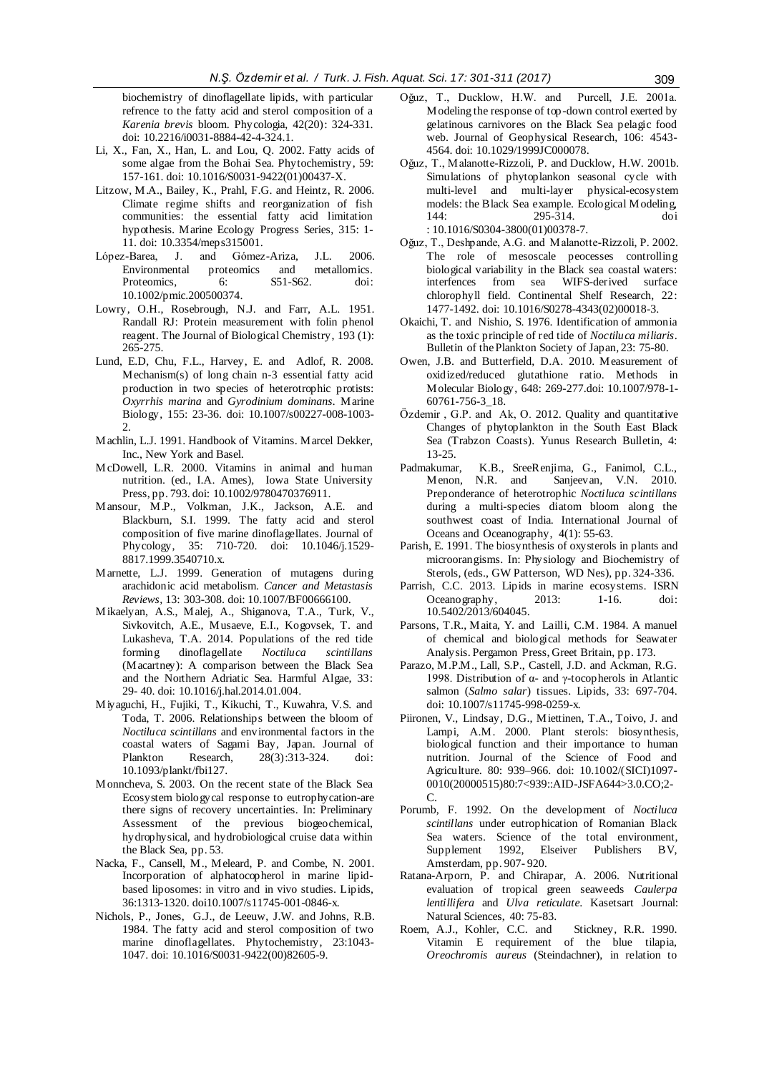biochemistry of dinoflagellate lipids, with particular refrence to the fatty acid and sterol composition of a *Karenia brevis* bloom. Phycologia, 42(20): 324-331. [doi: 10.2216/i0031-8884-42-4-324.1.](doi:%2010.2216/i0031-8884-42-4-324.1)

- Li, X., Fan, X., Han, L. and Lou, Q. 2002. Fatty acids of some algae from the Bohai Sea. Phytochemistry, 59: 157-161. [doi: 10.1016/S0031-9422\(01\)00437-X.](doi:%2010.1016/S0031-9422(01)00437-X)
- Litzow, M.A., Bailey, K., Prahl, F.G. and Heintz, R. 2006. Climate regime shifts and reorganization of fish communities: the essential fatty acid limitation hypothesis*.* Marine Ecology Progress Series, 315: 1- 11. [doi: 10.3354/meps315001.](doi:%2010.3354/meps315001)
- López-Barea, J. and Gómez-Ariza, J.L. 2006. Environmental proteomics and metallomics.<br>Proteomics. 6: S51-S62. doi: Proteomics. 6: S51-S62. doi: [10.1002/pmic.200500374.](doi:%2010.1002/pmic.200500374)
- Lowry, O.H., Rosebrough, N.J. and Farr, A.L. 1951. Randall RJ: Protein measurement with folin phenol reagent. The Journal of Biological Chemistry, 193 (1): 265-275.
- Lund, E.D, Chu, F.L., Harvey, E. and Adlof, R. 2008. Mechanism(s) of long chain n-3 essential fatty acid production in two species of heterotrophic protists: *Oxyrrhis marina* and *Gyrodinium dominans.* Marine Biology, 155: 23-36. [doi: 10.1007/s00227-008-1003-](doi:%2010.1007/s00227-008-1003-2)  $\mathcal{L}$
- Machlin, L.J. 1991. Handbook of Vitamins. Marcel Dekker, Inc., New York and Basel.
- McDowell, L.R. 2000. Vitamins in animal and human nutrition. (ed., I.A. Ames), Iowa State University Press, pp. 793[. doi: 10.1002/9780470376911.](doi:%2010.1002/9780470376911)
- Mansour, M.P., Volkman, J.K., Jackson, A.E. and Blackburn, S.I. 1999. The fatty acid and sterol composition of five marine dinoflagellates. Journal of Phycology, 35: 710-720. [doi: 10.1046/j.1529-](http://dx.doi.org/10.1046/j.1529-8817.1999.3540710.x) [8817.1999.3540710.x.](http://dx.doi.org/10.1046/j.1529-8817.1999.3540710.x)
- Marnette, L.J. 1999. Generation of mutagens during arachidonic acid metabolism. *Cancer and Metastasis Reviews,* 13: 303-308[. doi: 10.1007/BF00666100.](doi:%2010.1007/BF00666100)
- Mikaelyan, A.S., Malej, A., Shiganova, T.A., Turk, V., Sivkovitch, A.E., Musaeve, E.I., Kogovsek, T. and Lukasheva, T.A. 2014. Populations of the red tide forming dinoflagellate *Noctiluca scintillans* (Macartney): A comparison between the Black Sea and the Northern Adriatic Sea. Harmful Algae, 33: 29- 40. [doi: 10.1016/j.hal.2014.01.004.](http://dx.doi.org/10.1016/j.hal.2014.01.004)
- Miyaguchi, H., Fujiki, T., Kikuchi, T., Kuwahra, V.S. and Toda, T. 2006. Relationships between the bloom of *Noctiluca scintillans* and environmental factors in the coastal waters of Sagami Bay, Japan. Journal of Plankton Research, 28(3):313-324. [doi:](doi:%2010.1093/plankt/fbi127)  [10.1093/plankt/fbi127.](doi:%2010.1093/plankt/fbi127)
- Monncheva, S. 2003. On the recent state of the Black Sea Ecosystem biologycal response to eutrophycation-are there signs of recovery uncertainties. In: Preliminary Assessment of the previous biogeochemical, hydrophysical, and hydrobiological cruise data within the Black Sea, pp. 53.
- Nacka, F., Cansell, M., Meleard, P. and Combe, N. 2001. Incorporation of alphatocopherol in marine lipidbased liposomes: in vitro and in vivo studies. Lipids, 36:1313-1320. [doi10.1007/s11745-001-0846-x.](http://dx.doi.org/10.1007/s11745-001-0846-x)
- Nichols, P., Jones, G.J., de Leeuw, J.W. and Johns, R.B. 1984. The fatty acid and sterol composition of two marine dinoflagellates. Phytochemistry*,* 23:1043- 1047. [doi: 10.1016/S0031-9422\(00\)82605-9.](doi:%2010.1016/S0031-9422(00)82605-9)
- Oğuz, T., Ducklow, H.W. and Purcell, J.E. 2001a. Modeling the response of top-down control exerted by gelatinous carnivores on the Black Sea pelagic food web. Journal of Geophysical Research, 106: 4543- 4564[. doi: 10.1029/1999JC000078.](doi:%2010.1029/1999JC000078)
- Oğuz, T., Malanotte-Rizzoli, P. and Ducklow, H.W. 2001b. Simulations of phytoplankon seasonal cycle with multi-level and multi-layer physical-ecosystem models: the Black Sea example. Ecological Modeling,<br>144: 295-314. doi 295-314. [doi](../AppData/Roaming/Microsoft/Word/nictuluca%20scintillans/doi%0b:%2010.1016/S0304-3800(01)00378-7) [: 10.1016/S0304-3800\(01\)00378-7.](../AppData/Roaming/Microsoft/Word/nictuluca%20scintillans/doi%0b:%2010.1016/S0304-3800(01)00378-7)
- Oğuz, T., Deshpande, A.G. and Malanotte-Rizzoli, P. 2002. The role of mesoscale peocesses controlling biological variability in the Black sea coastal waters: interfences from sea WIFS-derived surface chlorophyll field. Continental Shelf Research, 22: 1477-1492[. doi: 10.1016/S0278-4343\(02\)00018-3.](doi:%2010.1016/S0278-4343(02)00018-3)
- Okaichi, T. and Nishio, S. 1976. Identification of ammonia as the toxic principle of red tide of *Noctiluca miliaris*. Bulletin of the Plankton Society of Japan*,* 23: 75-80.
- Owen, J.B. and Butterfield, D.A. 2010. Measurement of oxidized/reduced glutathione ratio. Methods in Molecular Biology, 648: 269-27[7.doi: 10.1007/978-1-](doi:%2010.1007/978-1-60761-756-3_18) [60761-756-3\\_18.](doi:%2010.1007/978-1-60761-756-3_18)
- Özdemir , G.P. and Ak, O. 2012. Quality and quantitative Changes of phytoplankton in the South East Black Sea (Trabzon Coasts). Yunus Research Bulletin, 4: 13-25.
- Padmakumar, K.B., SreeRenjima, G., Fanimol, C.L., Menon, N.R. and Sanieevan, V.N. 2010. Sanjeevan, V.N. 2010. Preponderance of heterotrophic *Noctiluca scintillans*  during a multi-species diatom bloom along the southwest coast of India. International Journal of Oceans and Oceanography, 4(1): 55-63.
- Parish, E. 1991. The biosynthesis of oxysterols in plants and microorangisms. In: Physiology and Biochemistry of Sterols, (eds., GW Patterson, WD Nes), pp. 324-336.
- Parrish, C.C. 2013. Lipids in marine ecosystems*.* ISRN Oceanography, 2013: 1-16. [doi:](doi:%2010.5402/2013/604045)  [10.5402/2013/604045.](doi:%2010.5402/2013/604045)
- Parsons, T.R., Maita, Y. and Lailli, C.M. 1984. A manuel of chemical and biological methods for Seawater Analysis. Pergamon Press, Greet Britain, pp. 173.
- Parazo, M.P.M., Lall, S.P., Castell, J.D. and Ackman, R.G. 1998. Distribution of α- and γ-tocopherols in Atlantic salmon (*Salmo salar*) tissues. Lipids, 33: 697-704. [doi: 10.1007/s11745-998-0259-x.](doi:%2010.1007/s11745-998-0259-x)
- Piironen, V., Lindsay, D.G., Miettinen, T.A., Toivo, J. and Lampi, A.M. 2000. Plant sterols: biosynthesis, biological function and their importance to human nutrition. Journal of the Science of Food and Agriculture. 80: 939–966. [doi: 10.1002/\(SICI\)1097-](http://dx.doi.org/10.1002/(SICI)1097-0010(20000515)80:7%3C939::AID-JSFA644%3E3.0.CO;2-C) [0010\(20000515\)80:7<939::AID-JSFA644>3.0.CO;2-](http://dx.doi.org/10.1002/(SICI)1097-0010(20000515)80:7%3C939::AID-JSFA644%3E3.0.CO;2-C) [C.](http://dx.doi.org/10.1002/(SICI)1097-0010(20000515)80:7%3C939::AID-JSFA644%3E3.0.CO;2-C)
- Porumb, F. 1992. On the development of *Noctiluca scintillans* under eutrophication of Romanian Black Sea waters. Science of the total environment, Supplement 1992, Elseiver Publishers BV, Amsterdam, pp. 907- 920.
- Ratana-Arporn, P. and Chirapar, A. 2006. Nutritional evaluation of tropical green seaweeds *Caulerpa lentillifera* and *Ulva reticulate*. Kasetsart Journal: Natural Sciences, 40: 75-83.
- Roem, A.J., Kohler, C.C. and Stickney, R.R. 1990. Vitamin E requirement of the blue tilapia, *Oreochromis aureus* (Steindachner), in relation to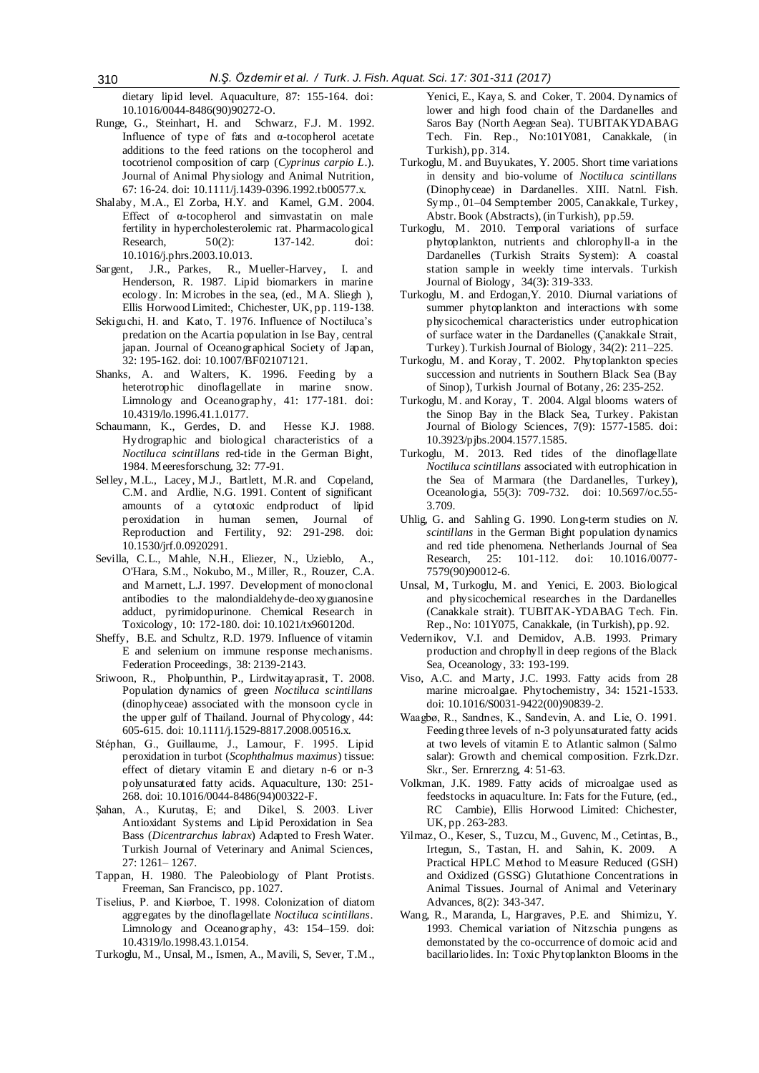dietary lipid level. Aquaculture, 87: 155-164. [doi:](doi:%2010.1016/0044-8486(90)90272-O)  [10.1016/0044-8486\(90\)90272-O.](doi:%2010.1016/0044-8486(90)90272-O)

- Runge, G., Steinhart, H. and Schwarz, F.J. M. 1992. Influence of type of fats and α-tocopherol acetate additions to the feed rations on the tocopherol and tocotrienol composition of carp (*Cyprinus carpio L*.). Journal of Animal Physiology and Animal Nutrition*,* 67: 16-24. [doi: 10.1111/j.1439-0396.1992.tb00577.x.](doi:%2010.1111/j.1439-0396.1992.tb00577.x)
- Shalaby, M.A., El Zorba, H.Y. and Kamel, G.M. 2004. Effect of α-tocopherol and simvastatin on male fertility in hypercholesterolemic rat*.* Pharmacological Research, 50(2): 137-142. doi: [10.1016/j.phrs.2003.10.013.](doi:%2010.1016/j.phrs.2003.10.013)
- Sargent, J.R., Parkes, R., Mueller-Harvey, I. and Henderson, R. 1987. Lipid biomarkers in marine ecology. In: Microbes in the sea, (ed., M A. Sliegh ), Ellis Horwood Limited:, Chichester, UK, pp. 119-138.
- Sekiguchi, H. and Kato, T. 1976. Influence of Noctiluca's predation on the Acartia population in Ise Bay, central japan. Journal of Oceanographical Society of Japan, 32: 195-162. [doi: 10.1007/BF02107121.](doi:%2010.1007/BF02107121)
- Shanks, A. and Walters, K. 1996. Feeding by a heterotrophic dinoflagellate in marine snow. Limnology and Oceanography, 41: 177-181. [doi:](doi:%2010.4319/lo.1996.41.1.0177)  [10.4319/lo.1996.41.1.0177.](doi:%2010.4319/lo.1996.41.1.0177)
- Schaumann, K., Gerdes, D. and Hesse K.J. 1988. Hydrographic and biological characteristics of a *Noctiluca scintillans* red-tide in the German Bight, 1984. Meeresforschung, 32: 77-91.
- Selley, M.L., Lacey, M.J., Bartlett, M.R. and Copeland, C.M. and Ardlie, N.G. 1991. Content of significant amounts of a cytotoxic endproduct of lipid peroxidation in human semen, Journal of Reproduction and Fertility, 92: 291-298. [doi:](doi:%2010.1530/jrf.0.0920291)  [10.1530/jrf.0.0920291.](doi:%2010.1530/jrf.0.0920291)
- Sevilla, C.L., Mahle, N.H., Eliezer, N., Uzieblo, A., O'Hara, S.M., Nokubo, M., Miller, R., Rouzer, C.A. and Marnett, L.J. 1997. Development of monoclonal antibodies to the malondialdehyde-deoxyguanosine adduct, pyrimidopurinone. Chemical Research in Toxicology*,* 10: 172-180[. doi: 10.1021/tx960120d.](doi:%2010.1021/tx960120d)
- Sheffy, B.E. and Schultz, R.D. 1979. Influence of vitamin E and selenium on immune response mechanisms. Federation Proceedings*,* 38: 2139-2143.
- Sriwoon, R., Pholpunthin, P., Lirdwitayaprasit, T. 2008. Population dynamics of green *Noctiluca scintillans*  (dinophyceae) associated with the monsoon cycle in the upper gulf of Thailand. Journal of Phycology, 44: 605-615. [doi: 10.1111/j.1529-8817.2008.00516.x.](doi:%2010.1111/j.1529-8817.2008.00516.x)
- Stéphan, G., Guillaume, J., Lamour, F. 1995. Lipid peroxidation in turbot (*Scophthalmus maximus*) tissue: effect of dietary vitamin E and dietary n-6 or n-3 polyunsaturated fatty acids. Aquaculture*,* 130: 251- 268. [doi: 10.1016/0044-8486\(94\)00322-F.](doi:%2010.1016/0044-8486(94)00322-F)
- Şahan, A., Kurutaş, E; and Dikel, S. 2003. Liver Antioxidant Systems and Lipid Peroxidation in Sea Bass (*Dicentrarchus labrax*) Adapted to Fresh Water. Turkish Journal of Veterinary and Animal Sciences, 27: 1261– 1267.
- Tappan, H. 1980. The Paleobiology of Plant Protists. Freeman, San Francisco, pp. 1027.
- Tiselius, P. and Kiørboe, T. 1998. Colonization of diatom aggregates by the dinoflagellate *Noctiluca scintillans*. Limnology and Oceanography, 43: 154–159. doi: [10.4319/lo.1998.43.1.0154.](http://dx.doi.org/10.4319/lo.1998.43.1.0154)
- Turkoglu, M., Unsal, M., Ismen, A., Mavili, S, Sever, T.M.,

Yenici, E., Kaya, S. and Coker, T. 2004. Dynamics of lower and high food chain of the Dardanelles and Saros Bay (North Aegean Sea). TUBITAKYDABAG Tech. Fin. Rep., No:101Y081, Canakkale, (in Turkish), pp. 314.

- Turkoglu, M. and Buyukates, Y. 2005. Short time variations in density and bio-volume of *Noctiluca scintillans* (Dinophyceae) in Dardanelles. XIII. Natnl. Fish. Symp., 01–04 Semptember 2005, Canakkale, Turkey, Abstr. Book (Abstracts), (in Turkish), pp.59.
- Turkoglu, M. 2010. Temporal variations of surface phytoplankton, nutrients and chlorophyll-a in the Dardanelles (Turkish Straits System): A coastal station sample in weekly time intervals. Turkish Journal of Biology, 34(3**)**: 319-333.
- Turkoglu, M. and Erdogan,Y. 2010. Diurnal variations of summer phytoplankton and interactions with some physicochemical characteristics under eutrophication of surface water in the Dardanelles (Çanakkale Strait, Turkey). Turkish Journal of Biology, 34(2): 211–225.
- Turkoglu, M. and Koray, T. 2002. Phytoplankton species succession and nutrients in Southern Black Sea (Bay of Sinop), Turkish Journal of Botany, 26: 235-252.
- Turkoglu, M. and Koray, T. 2004. Algal blooms waters of the Sinop Bay in the Black Sea, Turkey. Pakistan Journal of Biology Sciences*,* 7(9): 1577-1585. [doi:](doi:%2010.3923/pjbs.2004.1577.1585)  [10.3923/pjbs.2004.1577.1585.](doi:%2010.3923/pjbs.2004.1577.1585)
- Turkoglu, M. 2013. Red tides of the dinoflagellate *Noctiluca scintillans* associated with eutrophication in the Sea of Marmara (the Dardanelles, Turkey), Oceanologia, 55(3): 709-732. [doi: 10.5697/oc.55-](doi:%2010.5697/oc.55-3.709) [3.709.](doi:%2010.5697/oc.55-3.709)
- Uhlig, G. and Sahling G. 1990. Long-term studies on *N. scintillans* in the German Bight population dynamics and red tide phenomena. Netherlands Journal of Sea Research, 25: 101-112. [doi: 10.1016/0077-](doi:%2010.1016/0077-7579(90)90012-6) [7579\(90\)90012-6.](doi:%2010.1016/0077-7579(90)90012-6)
- Unsal, M, Turkoglu, M. and Yenici, E. 2003. Biological and physicochemical researches in the Dardanelles (Canakkale strait). TUBITAK-YDABAG Tech. Fin. Rep., No: 101Y075, Canakkale, (in Turkish), pp. 92.
- Vedernikov, V.I. and Demidov, A.B. 1993. Primary production and chrophyll in deep regions of the Black Sea, Oceanology, 33: 193-199.
- Viso, A.C. and Marty, J.C. 1993. Fatty acids from 28 marine microalgae. Phytochemistry, 34: 1521-1533. [doi: 10.1016/S0031-9422\(00\)90839-2.](doi:%2010.1016/S0031-9422(00)90839-2)
- Waagbø, R., Sandnes, K., Sandevin, A. and Lie, O. 1991. Feeding three levels of n-3 polyunsaturated fatty acids at two levels of vitamin E to Atlantic salmon (Salmo salar): Growth and chemical composition. Fzrk.Dzr. Skr., Ser. Ernrerzng, 4: 51-63.
- Volkman, J.K. 1989. Fatty acids of microalgae used as feedstocks in aquaculture. In: Fats for the Future, (ed., RC Cambie), Ellis Horwood Limited: Chichester, UK, pp. 263-283.
- Yilmaz, O., Keser, S., Tuzcu, M., Guvenc, M., Cetintas, B., Irtegun, S., Tastan, H. and Sahin, K. 2009.A Practical HPLC Method to Measure Reduced (GSH) and Oxidized (GSSG) Glutathione Concentrations in Animal Tissues. Journal of Animal and Veterinary Advances, 8(2): 343-347.
- Wang, R., Maranda, L, Hargraves, P.E. and Shimizu, Y. 1993. Chemical variation of Nitzschia pungens as demonstated by the co-occurrence of domoic acid and bacillariolides. In: Toxic Phytoplankton Blooms in the